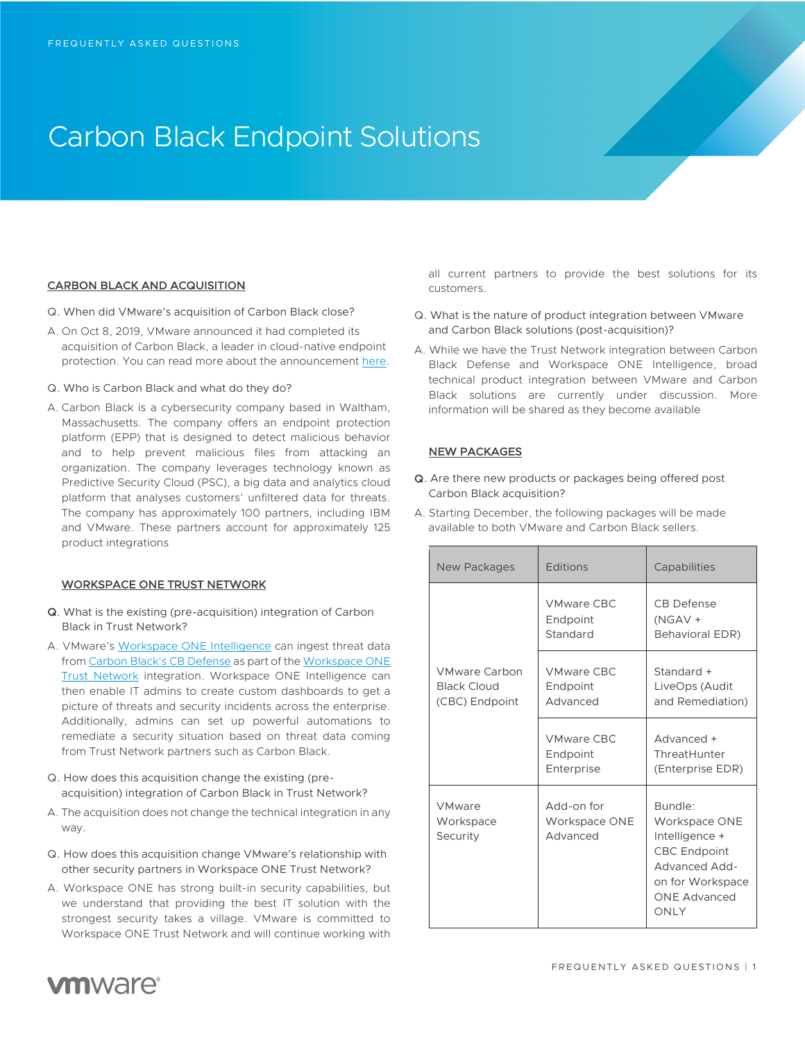# Carbon Black Endpoint Solutions

# CARBON BLACK AND ACQUISITION

- Q. When did VMware's acquisition of Carbon Black close?
- A. On Oct 8, 2019, VMware announced it had completed its acquisition of Carbon Black, a leader in cloud-native endpoint protection. You can read more about the announcement here.
- Q. Who is Carbon Black and what do they do?
- A. Carbon Black is a cybersecurity company based in Waltham, Massachusetts. The company offers an endpoint protection platform (EPP) that is designed to detect malicious behavior and to help prevent malicious files from attacking an organization. The company leverages technology known as Predictive Security Cloud (PSC), a big data and analytics cloud platform that analyses customers' unfiltered data for threats. The company has approximately 100 partners, including IBM and VMware. These partners account for approximately 125 product integrations

### WORKSPACE ONE TRUST NETWORK

- Q. What is the existing (pre-acquisition) integration of Carbon Black in Trust Network?
- A. VMware's Workspace ONE Intelligence can ingest threat data from Carbon Black's CB Defense as part of the Workspace ONE Trust Network integration. Workspace ONE Intelligence can then enable IT admins to create custom dashboards to get a picture of threats and security incidents across the enterprise. Additionally, admins can set up powerful automations to remediate a security situation based on threat data coming from Trust Network partners such as Carbon Black.
- Q. How does this acquisition change the existing (preacquisition) integration of Carbon Black in Trust Network?
- A. The acquisition does not change the technical integration in any way.
- Q. How does this acquisition change VMware's relationship with other security partners in Workspace ONE Trust Network?
- A. Workspace ONE has strong built-in security capabilities, but we understand that providing the best IT solution with the strongest security takes a village. VMware is committed to Workspace ONE Trust Network and will continue working with

all current partners to provide the best solutions for its customers.

- Q. What is the nature of product integration between VMware and Carbon Black solutions (post-acquisition)?
- A. While we have the Trust Network integration between Carbon Black Defense and Workspace ONE Intelligence, broad technical product integration between VMware and Carbon Black solutions are currently under discussion. More information will be shared as they become available

# NEW PACKAGES

- Q. Are there new products or packages being offered post Carbon Black acquisition?
- A. Starting December, the following packages will be made available to both VMware and Carbon Black sellers.

| New Packages                                                 | Editions                                    | Capabilities                                                                                                                                 |
|--------------------------------------------------------------|---------------------------------------------|----------------------------------------------------------------------------------------------------------------------------------------------|
| <b>VMware Carbon</b><br><b>Black Cloud</b><br>(CBC) Endpoint | <b>VMware CBC</b><br>Endpoint<br>Standard   | CB Defense<br>(NGAV +<br>Behavioral EDR)                                                                                                     |
|                                                              | <b>VMware CBC</b><br>Endpoint<br>Advanced   | Standard +<br>LiveOps (Audit<br>and Remediation)                                                                                             |
|                                                              | <b>VMware CBC</b><br>Endpoint<br>Enterprise | Advanced +<br>ThreatHunter<br>(Enterprise EDR)                                                                                               |
| VMware<br>Workspace<br>Security                              | Add-on for<br>Workspace ONE<br>Advanced     | Bundle:<br>Workspace ONE<br>Intelligence +<br><b>CBC Endpoint</b><br><b>Advanced Add-</b><br>on for Workspace<br><b>ONE Advanced</b><br>ONLY |